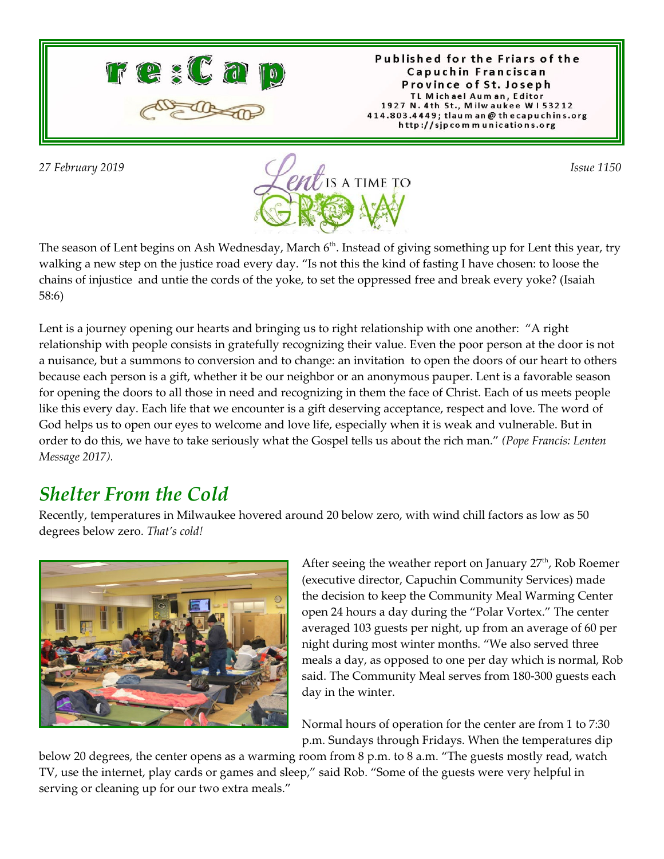

Published for the Friars of the Capuchin Franciscan Province of St. Joseph TL Michael Auman, Editor 1927 N. 4th St., Milwaukee W153212 414.803.4449; tlaum an @ thecapuchins.org http://sjpcommunications.org



The season of Lent begins on Ash Wednesday, March 6<sup>th</sup>. Instead of giving something up for Lent this year, try walking a new step on the justice road every day. "Is not this the kind of fasting I have chosen: to loose the chains of injustice and untie the cords of the yoke, to set the oppressed free and break every yoke? (Isaiah 58:6)

Lent is a journey opening our hearts and bringing us to right relationship with one another: "A right relationship with people consists in gratefully recognizing their value. Even the poor person at the door is not a nuisance, but a summons to conversion and to change: an invitation to open the doors of our heart to others because each person is a gift, whether it be our neighbor or an anonymous pauper. Lent is a favorable season for opening the doors to all those in need and recognizing in them the face of Christ. Each of us meets people like this every day. Each life that we encounter is a gift deserving acceptance, respect and love. The word of God helps us to open our eyes to welcome and love life, especially when it is weak and vulnerable. But in order to do this, we have to take seriously what the Gospel tells us about the rich man." *(Pope Francis: Lenten Message 2017).*

### *Shelter From the Cold*

Recently, temperatures in Milwaukee hovered around 20 below zero, with wind chill factors as low as 50 degrees below zero. *That's cold!*



After seeing the weather report on January 27<sup>th</sup>, Rob Roemer (executive director, Capuchin Community Services) made the decision to keep the Community Meal Warming Center open 24 hours a day during the "Polar Vortex." The center averaged 103 guests per night, up from an average of 60 per night during most winter months. "We also served three meals a day, as opposed to one per day which is normal, Rob said. The Community Meal serves from 180-300 guests each day in the winter.

Normal hours of operation for the center are from 1 to 7:30 p.m. Sundays through Fridays. When the temperatures dip

below 20 degrees, the center opens as a warming room from 8 p.m. to 8 a.m. "The guests mostly read, watch TV, use the internet, play cards or games and sleep," said Rob. "Some of the guests were very helpful in serving or cleaning up for our two extra meals."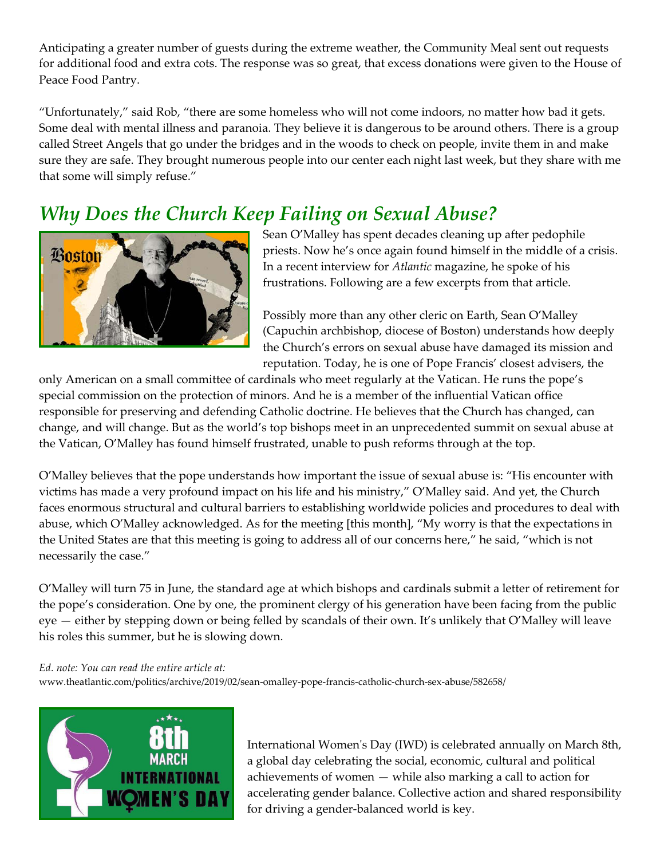Anticipating a greater number of guests during the extreme weather, the Community Meal sent out requests for additional food and extra cots. The response was so great, that excess donations were given to the House of Peace Food Pantry.

"Unfortunately," said Rob, "there are some homeless who will not come indoors, no matter how bad it gets. Some deal with mental illness and paranoia. They believe it is dangerous to be around others. There is a group called Street Angels that go under the bridges and in the woods to check on people, invite them in and make sure they are safe. They brought numerous people into our center each night last week, but they share with me that some will simply refuse."

### *Why Does the Church Keep Failing on Sexual Abuse?*



Sean O'Malley has spent decades cleaning up after pedophile priests. Now he's once again found himself in the middle of a crisis. In a recent interview for *Atlantic* magazine, he spoke of his frustrations. Following are a few excerpts from that article.

Possibly more than any other cleric on Earth, Sean O'Malley (Capuchin archbishop, diocese of Boston) understands how deeply the Church's errors on sexual abuse have damaged its mission and reputation. Today, he is one of Pope Francis' closest advisers, the

only American on a small committee of cardinals who meet regularly at the Vatican. He runs the pope's special commission on the protection of minors. And he is a member of the influential Vatican office responsible for preserving and defending Catholic doctrine. He believes that the Church has changed, can change, and will change. But as the world's top bishops meet in an unprecedented summit on sexual abuse at the Vatican, O'Malley has found himself frustrated, unable to push reforms through at the top.

O'Malley believes that the pope understands how important the issue of sexual abuse is: "His encounter with victims has made a very profound impact on his life and his ministry," O'Malley said. And yet, the Church faces enormous structural and cultural barriers to establishing worldwide policies and procedures to deal with abuse, which O'Malley acknowledged. As for the meeting [this month], "My worry is that the expectations in the United States are that this meeting is going to address all of our concerns here," he said, "which is not necessarily the case."

O'Malley will turn 75 in June, the standard age at which bishops and cardinals submit a letter of retirement for the pope's consideration. One by one, the prominent clergy of his generation have been facing from the public eye — either by stepping down or being felled by scandals of their own. It's unlikely that O'Malley will leave his roles this summer, but he is slowing down.

*Ed. note: You can read the entire article at:*

www.theatlantic.com/politics/archive/2019/02/sean-omalley-pope-francis-catholic-church-sex-abuse/582658/



International Women's Day (IWD) is celebrated annually on March 8th, a global day celebrating the social, economic, cultural and political achievements of women — while also marking a call to action for accelerating gender balance. Collective action and shared responsibility for driving a gender-balanced world is key.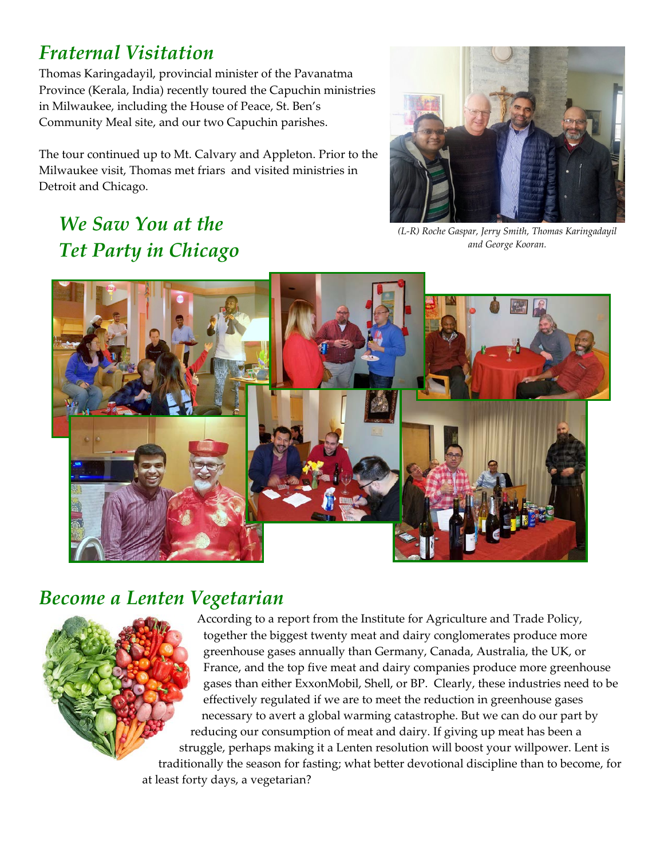### *Fraternal Visitation*

Thomas Karingadayil, provincial minister of the Pavanatma Province (Kerala, India) recently toured the Capuchin ministries in Milwaukee, including the House of Peace, St. Ben's Community Meal site, and our two Capuchin parishes.

The tour continued up to Mt. Calvary and Appleton. Prior to the Milwaukee visit, Thomas met friars and visited ministries in Detroit and Chicago.



# *We Saw You at the Tet Party in Chicago*

*(L-R) Roche Gaspar, Jerry Smith, Thomas Karingadayil and George Kooran.*



#### *Become a Lenten Vegetarian*

According to a report from the Institute for Agriculture and Trade Policy, together the biggest twenty meat and dairy conglomerates produce more greenhouse gases annually than Germany, Canada, Australia, the UK, or France, and the top five meat and dairy companies produce more greenhouse gases than either ExxonMobil, Shell, or BP. Clearly, these industries need to be effectively regulated if we are to meet the reduction in greenhouse gases necessary to avert a global warming catastrophe. But we can do our part by reducing our consumption of meat and dairy. If giving up meat has been a struggle, perhaps making it a Lenten resolution will boost your willpower. Lent is traditionally the season for fasting; what better devotional discipline than to become, for at least forty days, a vegetarian?